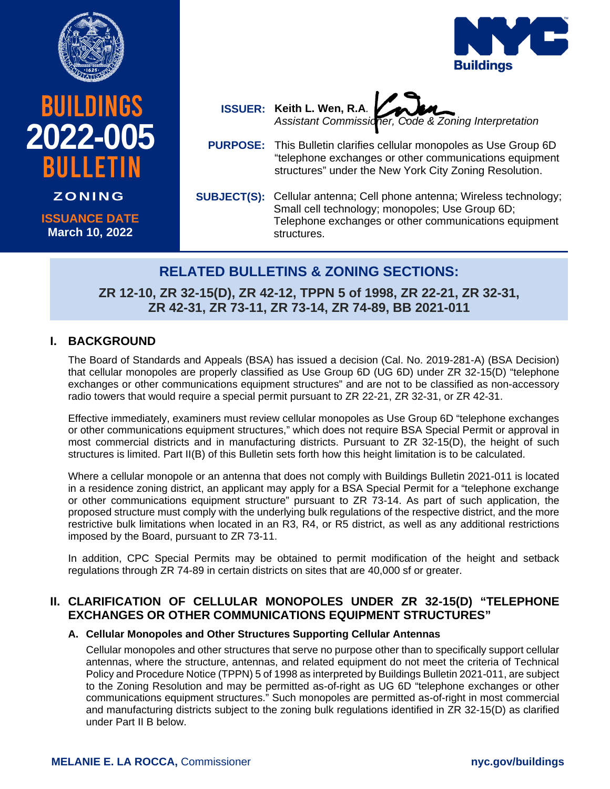

**BUILDINGS** 

bulletin

**ISSUANCE DATE March 10, 2022**

**ZONING**

**2022-005**





- **PURPOSE:** This Bulletin clarifies cellular monopoles as Use Group 6D "telephone exchanges or other communications equipment structures" under the New York City Zoning Resolution.
- SUBJECT(S): Cellular antenna; Cell phone antenna; Wireless technology; Small cell technology; monopoles; Use Group 6D; Telephone exchanges or other communications equipment structures.

# **RELATED BULLETINS & ZONING SECTIONS:**

**ZR 12-10, ZR 32-15(D), ZR 42-12, TPPN 5 of 1998, ZR 22-21, ZR 32-31, ZR 42-31, ZR 73-11, ZR 73-14, ZR 74-89, BB 2021-011**

## **I. BACKGROUND**

The Board of Standards and Appeals (BSA) has issued a decision (Cal. No. 2019-281-A) (BSA Decision) that cellular monopoles are properly classified as Use Group 6D (UG 6D) under ZR 32-15(D) "telephone exchanges or other communications equipment structures" and are not to be classified as non-accessory radio towers that would require a special permit pursuant to ZR 22-21, ZR 32-31, or ZR 42-31.

Effective immediately, examiners must review cellular monopoles as Use Group 6D "telephone exchanges or other communications equipment structures," which does not require BSA Special Permit or approval in most commercial districts and in manufacturing districts. Pursuant to ZR 32-15(D), the height of such structures is limited. Part II(B) of this Bulletin sets forth how this height limitation is to be calculated.

Where a cellular monopole or an antenna that does not comply with Buildings Bulletin 2021-011 is located in a residence zoning district, an applicant may apply for a BSA Special Permit for a "telephone exchange or other communications equipment structure" pursuant to ZR 73-14. As part of such application, the proposed structure must comply with the underlying bulk regulations of the respective district, and the more restrictive bulk limitations when located in an R3, R4, or R5 district, as well as any additional restrictions imposed by the Board, pursuant to ZR 73-11.

In addition, CPC Special Permits may be obtained to permit modification of the height and setback regulations through ZR 74-89 in certain districts on sites that are 40,000 sf or greater.

# **II. CLARIFICATION OF CELLULAR MONOPOLES UNDER ZR 32-15(D) "TELEPHONE EXCHANGES OR OTHER COMMUNICATIONS EQUIPMENT STRUCTURES"**

### **A. Cellular Monopoles and Other Structures Supporting Cellular Antennas**

Cellular monopoles and other structures that serve no purpose other than to specifically support cellular antennas, where the structure, antennas, and related equipment do not meet the criteria of Technical Policy and Procedure Notice (TPPN) 5 of 1998 as interpreted by Buildings Bulletin 2021-011, are subject to the Zoning Resolution and may be permitted as-of-right as UG 6D "telephone exchanges or other communications equipment structures." Such monopoles are permitted as-of-right in most commercial and manufacturing districts subject to the zoning bulk regulations identified in ZR 32-15(D) as clarified under Part II B below.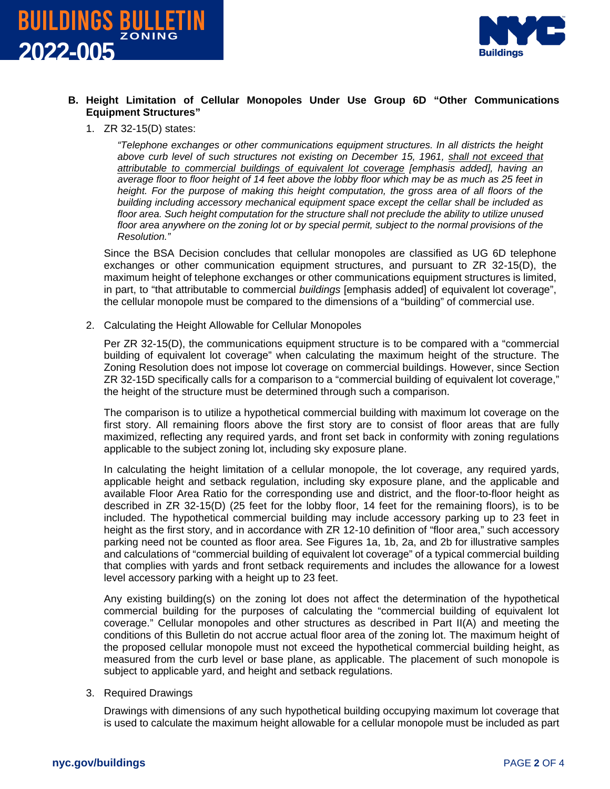



#### **B. Height Limitation of Cellular Monopoles Under Use Group 6D "Other Communications Equipment Structures"**

1. ZR 32-15(D) states:

*"Telephone exchanges or other communications equipment structures. In all districts the height above curb level of such structures not existing on December 15, 1961, shall not exceed that attributable to commercial buildings of equivalent lot coverage [emphasis added], having an average floor to floor height of 14 feet above the lobby floor which may be as much as 25 feet in height. For the purpose of making this height computation, the gross area of all floors of the building including accessory mechanical equipment space except the cellar shall be included as floor area. Such height computation for the structure shall not preclude the ability to utilize unused floor area anywhere on the zoning lot or by special permit, subject to the normal provisions of the Resolution."*

Since the BSA Decision concludes that cellular monopoles are classified as UG 6D telephone exchanges or other communication equipment structures, and pursuant to ZR 32-15(D), the maximum height of telephone exchanges or other communications equipment structures is limited, in part, to "that attributable to commercial *buildings* [emphasis added] of equivalent lot coverage", the cellular monopole must be compared to the dimensions of a "building" of commercial use.

2. Calculating the Height Allowable for Cellular Monopoles

Per ZR 32-15(D), the communications equipment structure is to be compared with a "commercial building of equivalent lot coverage" when calculating the maximum height of the structure. The Zoning Resolution does not impose lot coverage on commercial buildings. However, since Section ZR 32-15D specifically calls for a comparison to a "commercial building of equivalent lot coverage," the height of the structure must be determined through such a comparison.

The comparison is to utilize a hypothetical commercial building with maximum lot coverage on the first story. All remaining floors above the first story are to consist of floor areas that are fully maximized, reflecting any required yards, and front set back in conformity with zoning regulations applicable to the subject zoning lot, including sky exposure plane.

In calculating the height limitation of a cellular monopole, the lot coverage, any required yards, applicable height and setback regulation, including sky exposure plane, and the applicable and available Floor Area Ratio for the corresponding use and district, and the floor-to-floor height as described in ZR 32-15(D) (25 feet for the lobby floor, 14 feet for the remaining floors), is to be included. The hypothetical commercial building may include accessory parking up to 23 feet in height as the first story, and in accordance with ZR 12-10 definition of "floor area," such accessory parking need not be counted as floor area. See Figures 1a, 1b, 2a, and 2b for illustrative samples and calculations of "commercial building of equivalent lot coverage" of a typical commercial building that complies with yards and front setback requirements and includes the allowance for a lowest level accessory parking with a height up to 23 feet.

Any existing building(s) on the zoning lot does not affect the determination of the hypothetical commercial building for the purposes of calculating the "commercial building of equivalent lot coverage." Cellular monopoles and other structures as described in Part II(A) and meeting the conditions of this Bulletin do not accrue actual floor area of the zoning lot. The maximum height of the proposed cellular monopole must not exceed the hypothetical commercial building height, as measured from the curb level or base plane, as applicable. The placement of such monopole is subject to applicable yard, and height and setback regulations.

3. Required Drawings

Drawings with dimensions of any such hypothetical building occupying maximum lot coverage that is used to calculate the maximum height allowable for a cellular monopole must be included as part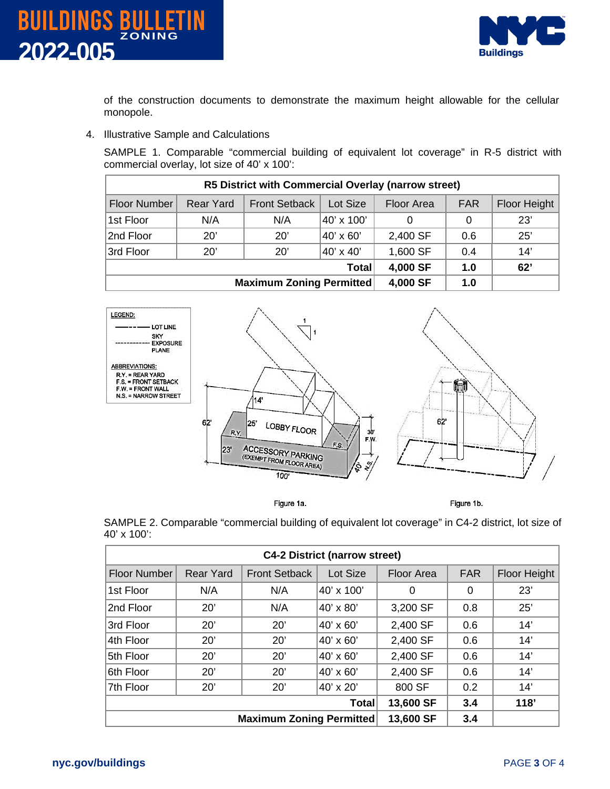



of the construction documents to demonstrate the maximum height allowable for the cellular monopole.

4. Illustrative Sample and Calculations

SAMPLE 1. Comparable "commercial building of equivalent lot coverage" in R-5 district with commercial overlay, lot size of 40' x 100':

| R5 District with Commercial Overlay (narrow street) |           |                      |            |            |            |              |  |  |  |
|-----------------------------------------------------|-----------|----------------------|------------|------------|------------|--------------|--|--|--|
| Floor Number                                        | Rear Yard | <b>Front Setback</b> | Lot Size   | Floor Area | <b>FAR</b> | Floor Height |  |  |  |
| 1st Floor                                           | N/A       | N/A                  | 40' x 100' | 0          | 0          | 23'          |  |  |  |
| 2nd Floor                                           | 20'       | 20'                  | 40' x 60'  | 2,400 SF   | 0.6        | 25'          |  |  |  |
| 3rd Floor                                           | 20'       | $20^{\circ}$         | 40' x 40'  | 1,600 SF   | 0.4        | 14'          |  |  |  |
| <b>Total</b>                                        |           |                      | 4,000 SF   | 1.0        | 62'        |              |  |  |  |
| <b>Maximum Zoning Permitted</b>                     |           |                      | 4,000 SF   | 1.0        |            |              |  |  |  |



Figure 1a.

Figure 1b.

SAMPLE 2. Comparable "commercial building of equivalent lot coverage" in C4-2 district, lot size of 40' x 100':

| <b>C4-2 District (narrow street)</b> |                  |                      |                  |            |            |              |  |  |  |
|--------------------------------------|------------------|----------------------|------------------|------------|------------|--------------|--|--|--|
| <b>Floor Number</b>                  | <b>Rear Yard</b> | <b>Front Setback</b> | Lot Size         | Floor Area | <b>FAR</b> | Floor Height |  |  |  |
| 1st Floor                            | N/A              | N/A                  | 40' x 100'       | 0          | 0          | 23'          |  |  |  |
| 2nd Floor                            | 20'              | N/A                  | 40' x 80'        | 3,200 SF   | 0.8        | 25'          |  |  |  |
| 3rd Floor                            | 20'              | 20'                  | 40' x 60'        | 2,400 SF   | 0.6        | 14'          |  |  |  |
| 4th Floor                            | 20'              | 20'                  | 40' x 60'        | 2,400 SF   | 0.6        | 14'          |  |  |  |
| 5th Floor                            | 20'              | 20'                  | 40' x 60'        | 2,400 SF   | 0.6        | 14'          |  |  |  |
| 6th Floor                            | 20'              | 20'                  | $40' \times 60'$ | 2,400 SF   | 0.6        | 14'          |  |  |  |
| 7th Floor                            | 20'              | 20'                  | 40' x 20'        | 800 SF     | 0.2        | 14'          |  |  |  |
| <b>Total</b>                         |                  |                      | 13,600 SF        | 3.4        | 118'       |              |  |  |  |
| <b>Maximum Zoning Permitted</b>      |                  |                      | 13,600 SF        | 3.4        |            |              |  |  |  |